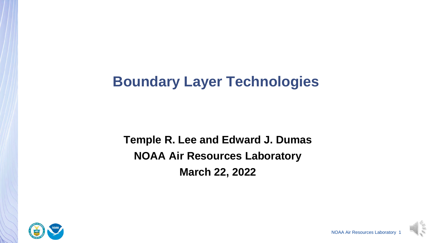# **Boundary Layer Technologies**

**Temple R. Lee and Edward J. Dumas NOAA Air Resources Laboratory March 22, 2022**



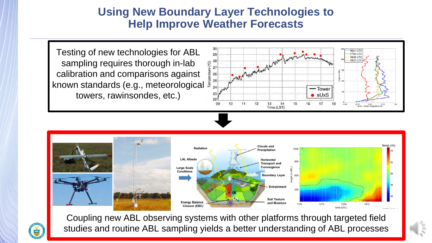#### **Using New Boundary Layer Technologies to Help Improve Weather Forecasts**

Testing of new technologies for ABL sampling requires thorough in-lab calibration and comparisons against known standards (e.g., meteorological towers, rawinsondes, etc.)







studies and routine ABL sampling yields a better understanding of ABL processes Coupling new ABL observing systems with other platforms through targeted field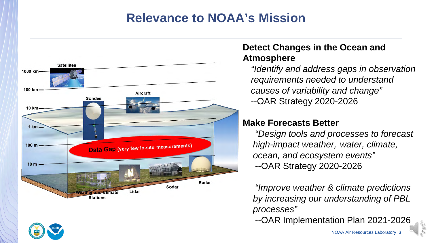# **Relevance to NOAA's Mission**



#### **Detect Changes in the Ocean and Atmosphere**

*"Identify and address gaps in observation requirements needed to understand causes of variability and change"* --OAR Strategy 2020-2026

#### **Make Forecasts Better**

*"Design tools and processes to forecast high-impact weather, water, climate, ocean, and ecosystem events"* --OAR Strategy 2020-2026

*"Improve weather & climate predictions by increasing our understanding of PBL processes"*

--OAR Implementation Plan 2021-2026

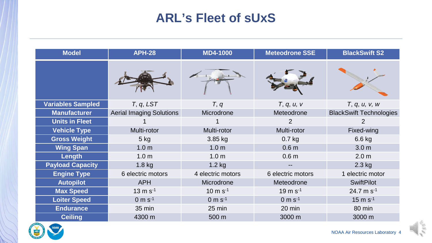## **ARL's Fleet of sUxS**

| <b>Model</b>             | <b>APH-28</b>                   | <b>MD4-1000</b>       | <b>Meteodrone SSE</b> | <b>BlackSwift S2</b>           |
|--------------------------|---------------------------------|-----------------------|-----------------------|--------------------------------|
|                          |                                 |                       |                       |                                |
| <b>Variables Sampled</b> | T, q, LST                       | T, q                  | T, q, u, v            | T, q, u, v, w                  |
| <b>Manufacturer</b>      | <b>Aerial Imaging Solutions</b> | Microdrone            | Meteodrone            | <b>BlackSwift Technologies</b> |
| <b>Units in Fleet</b>    |                                 |                       | $\overline{2}$        | 2                              |
| <b>Vehicle Type</b>      | Multi-rotor                     | Multi-rotor           | Multi-rotor           | Fixed-wing                     |
| <b>Gross Weight</b>      | $5$ kg                          | 3.85 kg               | $0.7$ kg              | 6.6 kg                         |
| <b>Wing Span</b>         | 1.0 <sub>m</sub>                | 1.0 <sub>m</sub>      | 0.6 <sub>m</sub>      | 3.0 <sub>m</sub>               |
| Length                   | 1.0 <sub>m</sub>                | 1.0 <sub>m</sub>      | 0.6 <sub>m</sub>      | 2.0 <sub>m</sub>               |
| <b>Payload Capacity</b>  | $1.8$ kg                        | $1.2$ kg              |                       | $2.3$ kg                       |
| <b>Engine Type</b>       | 6 electric motors               | 4 electric motors     | 6 electric motors     | 1 electric motor               |
| <b>Autopilot</b>         | <b>APH</b>                      | Microdrone            | Meteodrone            | <b>SwiftPilot</b>              |
| <b>Max Speed</b>         | $13 \text{ m s}^{-1}$           | $10 \text{ m s}^{-1}$ | $19 \text{ m s}^{-1}$ | 24.7 m $s^{-1}$                |
| <b>Loiter Speed</b>      | $0 m s^{-1}$                    | $0 m s^{-1}$          | $0 m s^{-1}$          | $15 \text{ m s}^{-1}$          |
| <b>Endurance</b>         | 35 min                          | $25 \text{ min}$      | 20 min                | 80 min                         |
| <b>Ceiling</b>           | 4300 m                          | 500 m                 | 3000 m                | 3000 m                         |

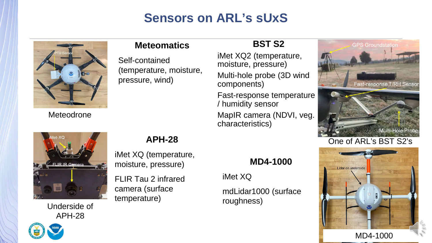# **Sensors on ARL's sUxS**



**Meteomatics**

Self-contained (temperature, moisture, pressure, wind)

#### **BST S2**

iMet XQ2 (temperature, moisture, pressure) Multi-hole probe (3D wind components) Fast-response temperature

/ humidity sensor MapIR camera (NDVI, veg. characteristics)





Underside of APH-28

#### **APH-28**

iMet XQ (temperature, moisture, pressure)

FLIR Tau 2 infrared camera (surface temperature)

#### **MD4-1000**

iMet XQ

mdLidar1000 (surface roughness)

# One of ARL's BST S2's



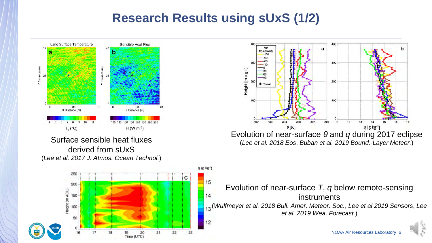## **Research Results using sUxS (1/2)**





(*Lee et al. 2018 Eos*, *Buban et al. 2019 Bound.-Layer Meteor.*)

Evolution of near-surface *T*, *q* below remote-sensing **instruments** (*Wulfmeyer et al. 2018 Bull. Amer. Meteor. Soc.*, *Lee et al 2019 Sensors*, *Lee et al. 2019 Wea. Forecast.*)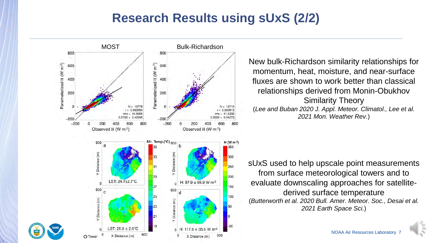## **Research Results using sUxS (2/2)**



New bulk-Richardson similarity relationships for momentum, heat, moisture, and near-surface fluxes are shown to work better than classical relationships derived from Monin-Obukhov Similarity Theory (*Lee and Buban 2020 J. Appl. Meteor. Climatol., Lee et al. 2021 Mon. Weather Rev.*)

sUxS used to help upscale point measurements from surface meteorological towers and to evaluate downscaling approaches for satellitederived surface temperature (*Butterworth et al. 2020 Bull. Amer. Meteor. Soc., Desai et al. 2021 Earth Space Sci.*)

NOAA Air Resources Laboratory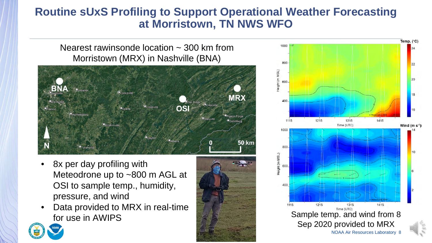#### **Routine sUxS Profiling to Support Operational Weather Forecasting at Morristown, TN NWS WFO**

Nearest rawinsonde location  $\sim$  300 km from Morristown (MRX) in Nashville (BNA)



- 8x per day profiling with Meteodrone up to ~800 m AGL at OSI to sample temp., humidity, pressure, and wind
- Data provided to MRX in real-time for use in AWIPS



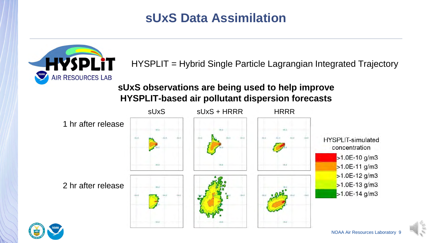## **sUxS Data Assimilation**



HYSPLIT = Hybrid Single Particle Lagrangian Integrated Trajectory

#### **sUxS observations are being used to help improve HYSPLIT-based air pollutant dispersion forecasts**



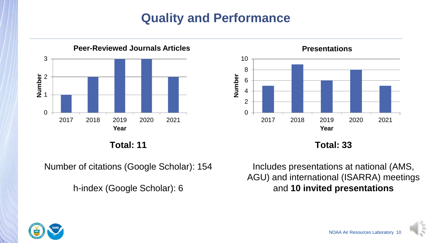# **Quality and Performance**





**Total: 11**

Number of citations (Google Scholar): 154

h-index (Google Scholar): 6

Includes presentations at national (AMS, AGU) and international (ISARRA) meetings and **10 invited presentations** 

**Total: 33**

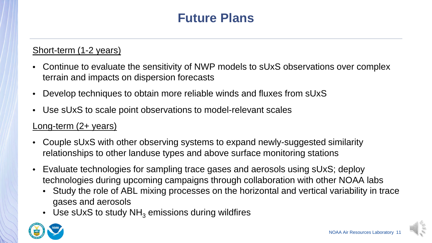# **Future Plans**

#### Short-term (1-2 years)

- Continue to evaluate the sensitivity of NWP models to sUxS observations over complex terrain and impacts on dispersion forecasts
- Develop techniques to obtain more reliable winds and fluxes from sUxS
- Use sUxS to scale point observations to model-relevant scales

#### Long-term (2+ years)

- Couple sUxS with other observing systems to expand newly-suggested similarity relationships to other landuse types and above surface monitoring stations
- Evaluate technologies for sampling trace gases and aerosols using sUxS; deploy technologies during upcoming campaigns through collaboration with other NOAA labs
	- Study the role of ABL mixing processes on the horizontal and vertical variability in trace gases and aerosols
	- Use sUxS to study  $NH<sub>3</sub>$  emissions during wildfires